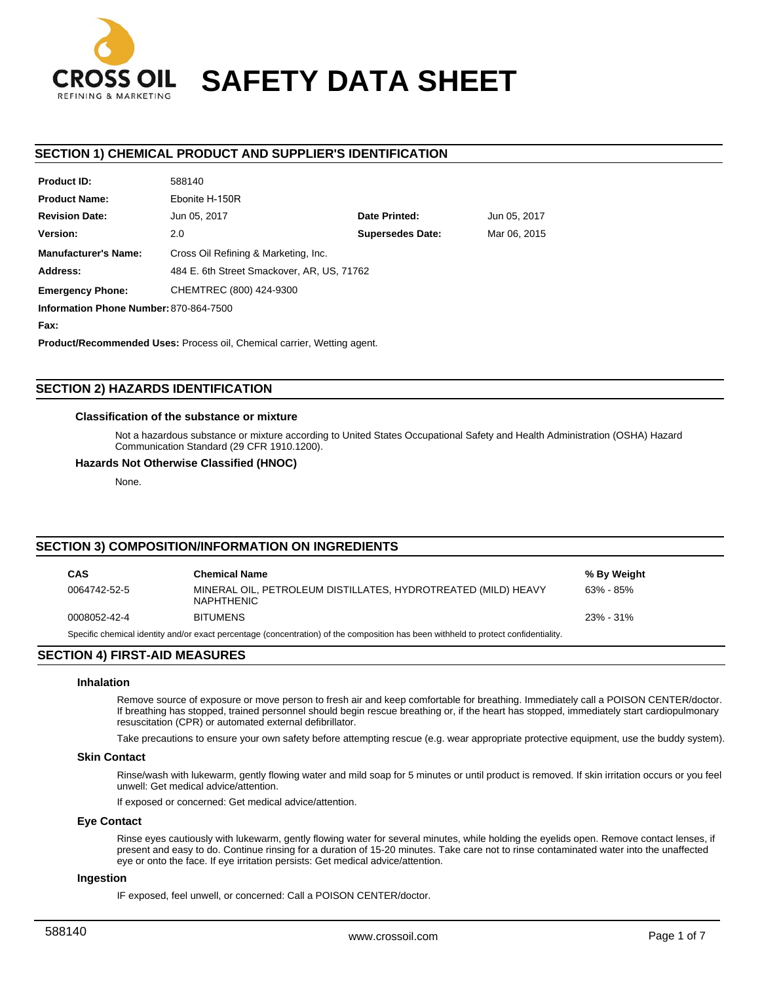

# **SAFETY DATA SHEET**

# **SECTION 1) CHEMICAL PRODUCT AND SUPPLIER'S IDENTIFICATION**

| Product ID:                            | <b>DPI 00C</b>                             |                         |              |  |  |  |
|----------------------------------------|--------------------------------------------|-------------------------|--------------|--|--|--|
| <b>Product Name:</b>                   | Ebonite H-150R                             |                         |              |  |  |  |
| <b>Revision Date:</b>                  | Jun 05, 2017                               | Date Printed:           | Jun 05, 2017 |  |  |  |
| Version:                               | 2.0                                        | <b>Supersedes Date:</b> | Mar 06, 2015 |  |  |  |
| <b>Manufacturer's Name:</b>            | Cross Oil Refining & Marketing, Inc.       |                         |              |  |  |  |
| Address:                               | 484 E. 6th Street Smackover, AR, US, 71762 |                         |              |  |  |  |
| <b>Emergency Phone:</b>                | CHEMTREC (800) 424-9300                    |                         |              |  |  |  |
| Information Phone Number: 870-864-7500 |                                            |                         |              |  |  |  |
|                                        |                                            |                         |              |  |  |  |

**Fax:**

**Product ID:**

**Product/Recommended Uses:** Process oil, Chemical carrier, Wetting agent.

# **SECTION 2) HAZARDS IDENTIFICATION**

## **Classification of the substance or mixture**

588140

Not a hazardous substance or mixture according to United States Occupational Safety and Health Administration (OSHA) Hazard Communication Standard (29 CFR 1910.1200).

## **Hazards Not Otherwise Classified (HNOC)**

None.

# **SECTION 3) COMPOSITION/INFORMATION ON INGREDIENTS**

| CAS                                                                                                                                 | <b>Chemical Name</b>                                                               | % By Weight   |  |  |  |
|-------------------------------------------------------------------------------------------------------------------------------------|------------------------------------------------------------------------------------|---------------|--|--|--|
| 0064742-52-5                                                                                                                        | MINERAL OIL, PETROLEUM DISTILLATES, HYDROTREATED (MILD) HEAVY<br><b>NAPHTHENIC</b> | $63\% - 85\%$ |  |  |  |
| 0008052-42-4                                                                                                                        | <b>BITUMENS</b>                                                                    | $23\% - 31\%$ |  |  |  |
| Specific chemical identity and/or exact percentage (concentration) of the composition has been withheld to protect confidentiality. |                                                                                    |               |  |  |  |

# **SECTION 4) FIRST-AID MEASURES**

## **Inhalation**

Remove source of exposure or move person to fresh air and keep comfortable for breathing. Immediately call a POISON CENTER/doctor. If breathing has stopped, trained personnel should begin rescue breathing or, if the heart has stopped, immediately start cardiopulmonary resuscitation (CPR) or automated external defibrillator.

Take precautions to ensure your own safety before attempting rescue (e.g. wear appropriate protective equipment, use the buddy system).

## **Skin Contact**

Rinse/wash with lukewarm, gently flowing water and mild soap for 5 minutes or until product is removed. If skin irritation occurs or you feel unwell: Get medical advice/attention.

If exposed or concerned: Get medical advice/attention.

## **Eye Contact**

Rinse eyes cautiously with lukewarm, gently flowing water for several minutes, while holding the eyelids open. Remove contact lenses, if present and easy to do. Continue rinsing for a duration of 15-20 minutes. Take care not to rinse contaminated water into the unaffected eye or onto the face. If eye irritation persists: Get medical advice/attention.

## **Ingestion**

IF exposed, feel unwell, or concerned: Call a POISON CENTER/doctor.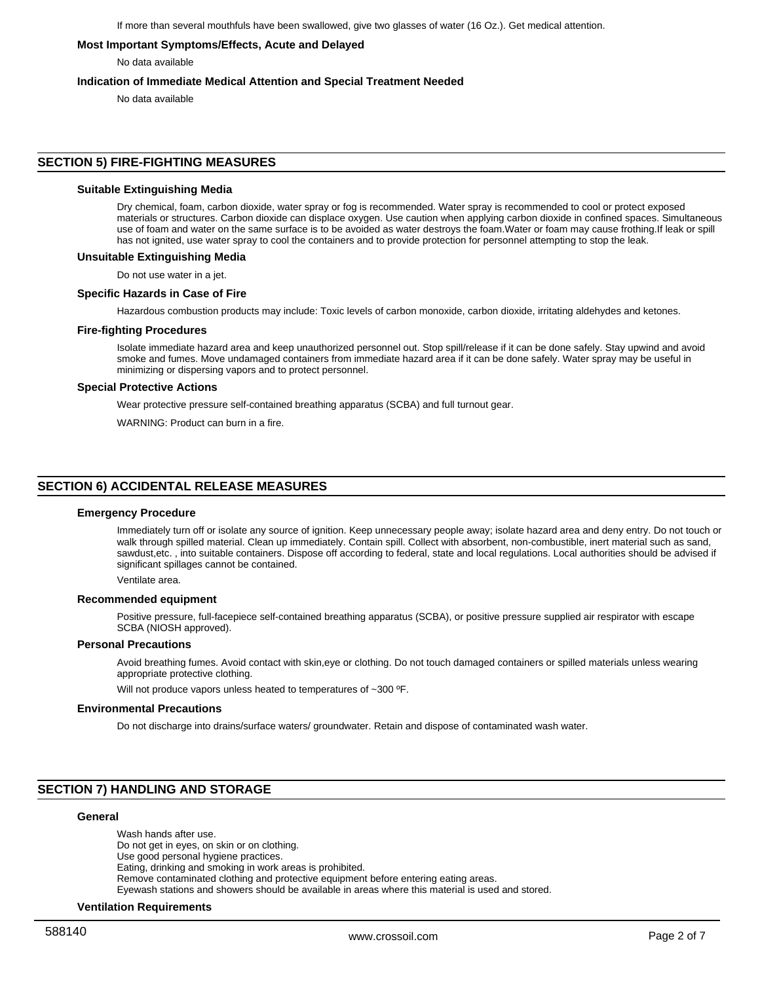## **Most Important Symptoms/Effects, Acute and Delayed**

No data available

## **Indication of Immediate Medical Attention and Special Treatment Needed**

No data available

# **SECTION 5) FIRE-FIGHTING MEASURES**

# **Suitable Extinguishing Media**

Dry chemical, foam, carbon dioxide, water spray or fog is recommended. Water spray is recommended to cool or protect exposed materials or structures. Carbon dioxide can displace oxygen. Use caution when applying carbon dioxide in confined spaces. Simultaneous use of foam and water on the same surface is to be avoided as water destroys the foam.Water or foam may cause frothing.If leak or spill has not ignited, use water spray to cool the containers and to provide protection for personnel attempting to stop the leak.

#### **Unsuitable Extinguishing Media**

Do not use water in a jet.

#### **Specific Hazards in Case of Fire**

Hazardous combustion products may include: Toxic levels of carbon monoxide, carbon dioxide, irritating aldehydes and ketones.

#### **Fire-fighting Procedures**

Isolate immediate hazard area and keep unauthorized personnel out. Stop spill/release if it can be done safely. Stay upwind and avoid smoke and fumes. Move undamaged containers from immediate hazard area if it can be done safely. Water spray may be useful in minimizing or dispersing vapors and to protect personnel.

# **Special Protective Actions**

Wear protective pressure self-contained breathing apparatus (SCBA) and full turnout gear.

WARNING: Product can burn in a fire.

# **SECTION 6) ACCIDENTAL RELEASE MEASURES**

#### **Emergency Procedure**

Immediately turn off or isolate any source of ignition. Keep unnecessary people away; isolate hazard area and deny entry. Do not touch or walk through spilled material. Clean up immediately. Contain spill. Collect with absorbent, non-combustible, inert material such as sand, sawdust,etc. , into suitable containers. Dispose off according to federal, state and local regulations. Local authorities should be advised if significant spillages cannot be contained.

Ventilate area.

#### **Recommended equipment**

Positive pressure, full-facepiece self-contained breathing apparatus (SCBA), or positive pressure supplied air respirator with escape SCBA (NIOSH approved).

#### **Personal Precautions**

Avoid breathing fumes. Avoid contact with skin,eye or clothing. Do not touch damaged containers or spilled materials unless wearing appropriate protective clothing.

Will not produce vapors unless heated to temperatures of ~300 °F.

#### **Environmental Precautions**

Do not discharge into drains/surface waters/ groundwater. Retain and dispose of contaminated wash water.

# **SECTION 7) HANDLING AND STORAGE**

#### **General**

Wash hands after use. Do not get in eyes, on skin or on clothing. Use good personal hygiene practices. Eating, drinking and smoking in work areas is prohibited. Remove contaminated clothing and protective equipment before entering eating areas. Eyewash stations and showers should be available in areas where this material is used and stored.

#### **Ventilation Requirements**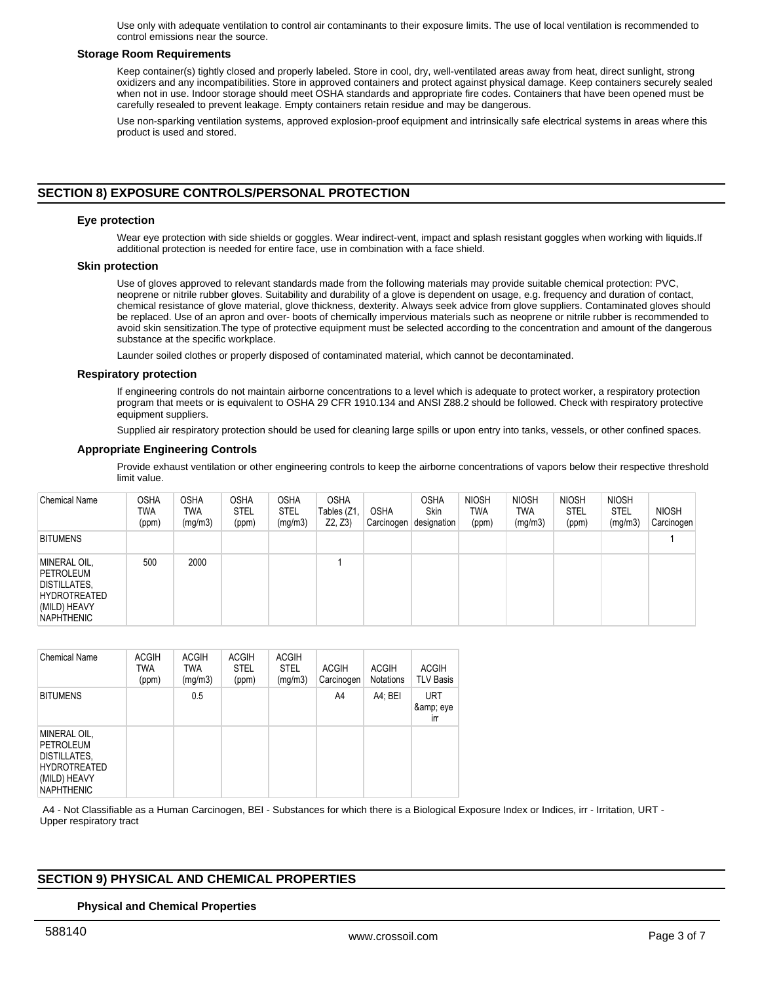Use only with adequate ventilation to control air contaminants to their exposure limits. The use of local ventilation is recommended to control emissions near the source.

#### **Storage Room Requirements**

Keep container(s) tightly closed and properly labeled. Store in cool, dry, well-ventilated areas away from heat, direct sunlight, strong oxidizers and any incompatibilities. Store in approved containers and protect against physical damage. Keep containers securely sealed when not in use. Indoor storage should meet OSHA standards and appropriate fire codes. Containers that have been opened must be carefully resealed to prevent leakage. Empty containers retain residue and may be dangerous.

Use non-sparking ventilation systems, approved explosion-proof equipment and intrinsically safe electrical systems in areas where this product is used and stored.

# **SECTION 8) EXPOSURE CONTROLS/PERSONAL PROTECTION**

#### **Eye protection**

Wear eye protection with side shields or goggles. Wear indirect-vent, impact and splash resistant goggles when working with liquids.If additional protection is needed for entire face, use in combination with a face shield.

#### **Skin protection**

Use of gloves approved to relevant standards made from the following materials may provide suitable chemical protection: PVC, neoprene or nitrile rubber gloves. Suitability and durability of a glove is dependent on usage, e.g. frequency and duration of contact, chemical resistance of glove material, glove thickness, dexterity. Always seek advice from glove suppliers. Contaminated gloves should be replaced. Use of an apron and over- boots of chemically impervious materials such as neoprene or nitrile rubber is recommended to avoid skin sensitization.The type of protective equipment must be selected according to the concentration and amount of the dangerous substance at the specific workplace.

Launder soiled clothes or properly disposed of contaminated material, which cannot be decontaminated.

#### **Respiratory protection**

If engineering controls do not maintain airborne concentrations to a level which is adequate to protect worker, a respiratory protection program that meets or is equivalent to OSHA 29 CFR 1910.134 and ANSI Z88.2 should be followed. Check with respiratory protective equipment suppliers.

Supplied air respiratory protection should be used for cleaning large spills or upon entry into tanks, vessels, or other confined spaces.

### **Appropriate Engineering Controls**

Provide exhaust ventilation or other engineering controls to keep the airborne concentrations of vapors below their respective threshold limit value.

| <b>Chemical Name</b>                                                                                  | <b>OSHA</b><br><b>TWA</b><br>(ppm) | <b>OSHA</b><br>TWA<br>(mg/m3) | <b>OSHA</b><br><b>STEL</b><br>(ppm) | <b>OSHA</b><br><b>STEL</b><br>(mg/m3) | <b>OSHA</b><br>Tables (Z1,<br>Z2, Z3 | <b>OSHA</b><br>Carcinogen | <b>OSHA</b><br><b>Skin</b><br>designation | <b>NIOSH</b><br>TWA<br>(ppm) | <b>NIOSH</b><br><b>TWA</b><br>(mg/m3) | <b>NIOSH</b><br><b>STEL</b><br>(ppm) | <b>NIOSH</b><br><b>STEL</b><br>(mg/m3) | <b>NIOSH</b><br>Carcinogen |
|-------------------------------------------------------------------------------------------------------|------------------------------------|-------------------------------|-------------------------------------|---------------------------------------|--------------------------------------|---------------------------|-------------------------------------------|------------------------------|---------------------------------------|--------------------------------------|----------------------------------------|----------------------------|
| <b>BITUMENS</b>                                                                                       |                                    |                               |                                     |                                       |                                      |                           |                                           |                              |                                       |                                      |                                        |                            |
| MINERAL OIL,<br>PETROLEUM<br>DISTILLATES,<br><b>HYDROTREATED</b><br>(MILD) HEAVY<br><b>NAPHTHENIC</b> | 500                                | 2000                          |                                     |                                       |                                      |                           |                                           |                              |                                       |                                      |                                        |                            |

| <b>Chemical Name</b>                                                                                         | <b>ACGIH</b><br><b>TWA</b><br>(ppm) | <b>ACGIH</b><br>TWA<br>(mg/m3) | <b>ACGIH</b><br><b>STEL</b><br>(ppm) | <b>ACGIH</b><br><b>STEL</b><br>(mg/m3) | <b>ACGIH</b><br>Carcinogen | <b>ACGIH</b><br><b>Notations</b> | <b>ACGIH</b><br><b>TLV Basis</b> |
|--------------------------------------------------------------------------------------------------------------|-------------------------------------|--------------------------------|--------------------------------------|----------------------------------------|----------------------------|----------------------------------|----------------------------------|
| <b>BITUMENS</b>                                                                                              |                                     | 0.5                            |                                      |                                        | A4                         | A4; BEI                          | <b>URT</b><br>& eye<br>irr       |
| MINERAL OIL,<br><b>PETROLEUM</b><br>DISTILLATES,<br><b>HYDROTREATED</b><br>(MILD) HEAVY<br><b>NAPHTHENIC</b> |                                     |                                |                                      |                                        |                            |                                  |                                  |

 A4 - Not Classifiable as a Human Carcinogen, BEI - Substances for which there is a Biological Exposure Index or Indices, irr - Irritation, URT - Upper respiratory tract

# **SECTION 9) PHYSICAL AND CHEMICAL PROPERTIES**

# **Physical and Chemical Properties**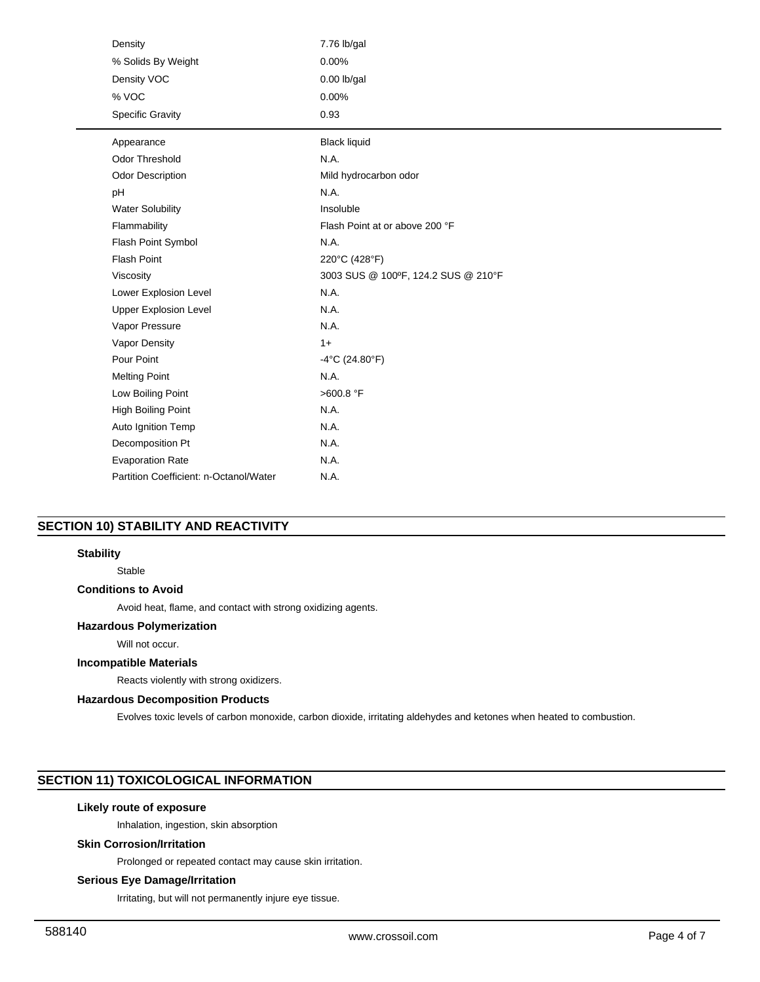| Density                                | 7.76 lb/gal                         |
|----------------------------------------|-------------------------------------|
| % Solids By Weight                     | 0.00%                               |
| Density VOC                            | $0.00$ lb/gal                       |
| % VOC                                  | 0.00%                               |
| <b>Specific Gravity</b>                | 0.93                                |
| Appearance                             | <b>Black liquid</b>                 |
| <b>Odor Threshold</b>                  | N.A.                                |
| <b>Odor Description</b>                | Mild hydrocarbon odor               |
| pH                                     | N.A.                                |
| <b>Water Solubility</b>                | Insoluble                           |
| Flammability                           | Flash Point at or above 200 °F      |
| Flash Point Symbol                     | N.A.                                |
| <b>Flash Point</b>                     | 220°C (428°F)                       |
| Viscosity                              | 3003 SUS @ 100°F, 124.2 SUS @ 210°F |
| Lower Explosion Level                  | N.A.                                |
| <b>Upper Explosion Level</b>           | N.A.                                |
| Vapor Pressure                         | N.A.                                |
| Vapor Density                          | $1+$                                |
| Pour Point                             | $-4^{\circ}$ C (24.80 $^{\circ}$ F) |
| <b>Melting Point</b>                   | N.A.                                |
| Low Boiling Point                      | >600.8 °F                           |
| High Boiling Point                     | N.A.                                |
| Auto Ignition Temp                     | N.A.                                |
| Decomposition Pt                       | N.A.                                |
| <b>Evaporation Rate</b>                | N.A.                                |
| Partition Coefficient: n-Octanol/Water | N.A.                                |

# **SECTION 10) STABILITY AND REACTIVITY**

# **Stability**

Stable

# **Conditions to Avoid**

Avoid heat, flame, and contact with strong oxidizing agents.

# **Hazardous Polymerization**

Will not occur.

# **Incompatible Materials**

Reacts violently with strong oxidizers.

## **Hazardous Decomposition Products**

Evolves toxic levels of carbon monoxide, carbon dioxide, irritating aldehydes and ketones when heated to combustion.

# **SECTION 11) TOXICOLOGICAL INFORMATION**

# **Likely route of exposure**

Inhalation, ingestion, skin absorption

## **Skin Corrosion/Irritation**

Prolonged or repeated contact may cause skin irritation.

# **Serious Eye Damage/Irritation**

Irritating, but will not permanently injure eye tissue.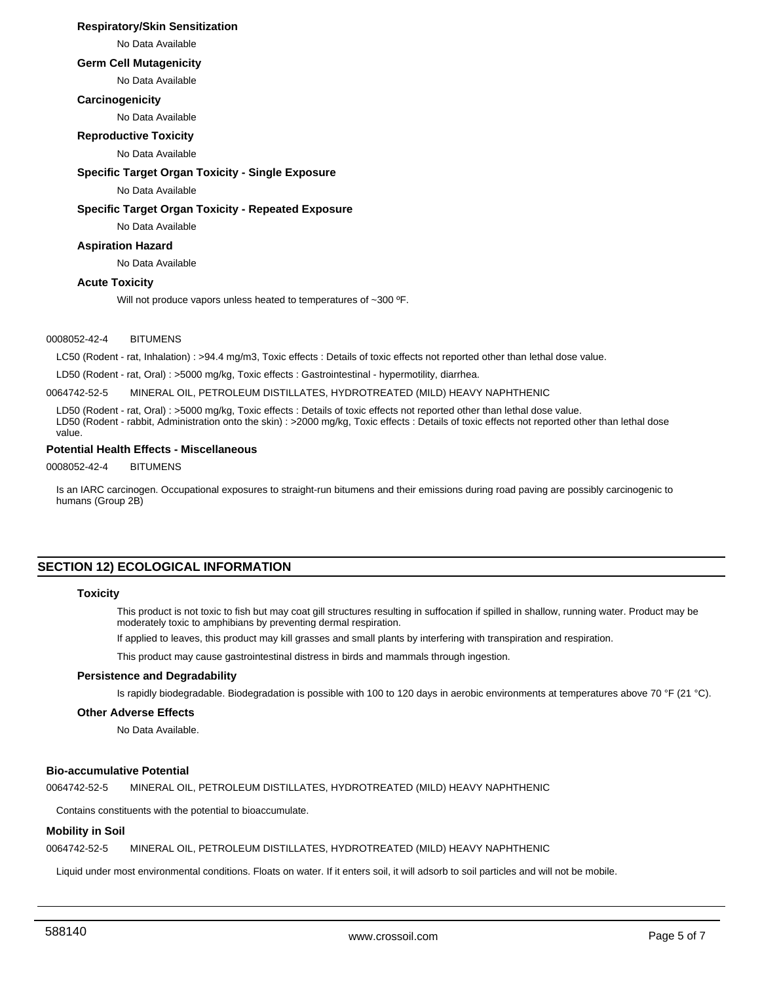# **Respiratory/Skin Sensitization**

No Data Available

# **Germ Cell Mutagenicity**

No Data Available

## **Carcinogenicity**

No Data Available

# **Reproductive Toxicity**

No Data Available

## **Specific Target Organ Toxicity - Single Exposure**

No Data Available

#### **Specific Target Organ Toxicity - Repeated Exposure**

No Data Available

# **Aspiration Hazard**

No Data Available

# **Acute Toxicity**

Will not produce vapors unless heated to temperatures of ~300 °F.

#### 0008052-42-4 BITUMENS

LC50 (Rodent - rat, Inhalation) : >94.4 mg/m3, Toxic effects : Details of toxic effects not reported other than lethal dose value.

LD50 (Rodent - rat, Oral) : >5000 mg/kg, Toxic effects : Gastrointestinal - hypermotility, diarrhea.

0064742-52-5 MINERAL OIL, PETROLEUM DISTILLATES, HYDROTREATED (MILD) HEAVY NAPHTHENIC

LD50 (Rodent - rat, Oral) : >5000 mg/kg, Toxic effects : Details of toxic effects not reported other than lethal dose value. LD50 (Rodent - rabbit, Administration onto the skin) : >2000 mg/kg, Toxic effects : Details of toxic effects not reported other than lethal dose value.

## **Potential Health Effects - Miscellaneous**

0008052-42-4 BITUMENS

Is an IARC carcinogen. Occupational exposures to straight-run bitumens and their emissions during road paving are possibly carcinogenic to humans (Group 2B)

# **SECTION 12) ECOLOGICAL INFORMATION**

#### **Toxicity**

This product is not toxic to fish but may coat gill structures resulting in suffocation if spilled in shallow, running water. Product may be moderately toxic to amphibians by preventing dermal respiration.

If applied to leaves, this product may kill grasses and small plants by interfering with transpiration and respiration.

This product may cause gastrointestinal distress in birds and mammals through ingestion.

#### **Persistence and Degradability**

Is rapidly biodegradable. Biodegradation is possible with 100 to 120 days in aerobic environments at temperatures above 70 °F (21 °C).

#### **Other Adverse Effects**

No Data Available.

# **Bio-accumulative Potential**

0064742-52-5 MINERAL OIL, PETROLEUM DISTILLATES, HYDROTREATED (MILD) HEAVY NAPHTHENIC

Contains constituents with the potential to bioaccumulate.

## **Mobility in Soil**

0064742-52-5 MINERAL OIL, PETROLEUM DISTILLATES, HYDROTREATED (MILD) HEAVY NAPHTHENIC

Liquid under most environmental conditions. Floats on water. If it enters soil, it will adsorb to soil particles and will not be mobile.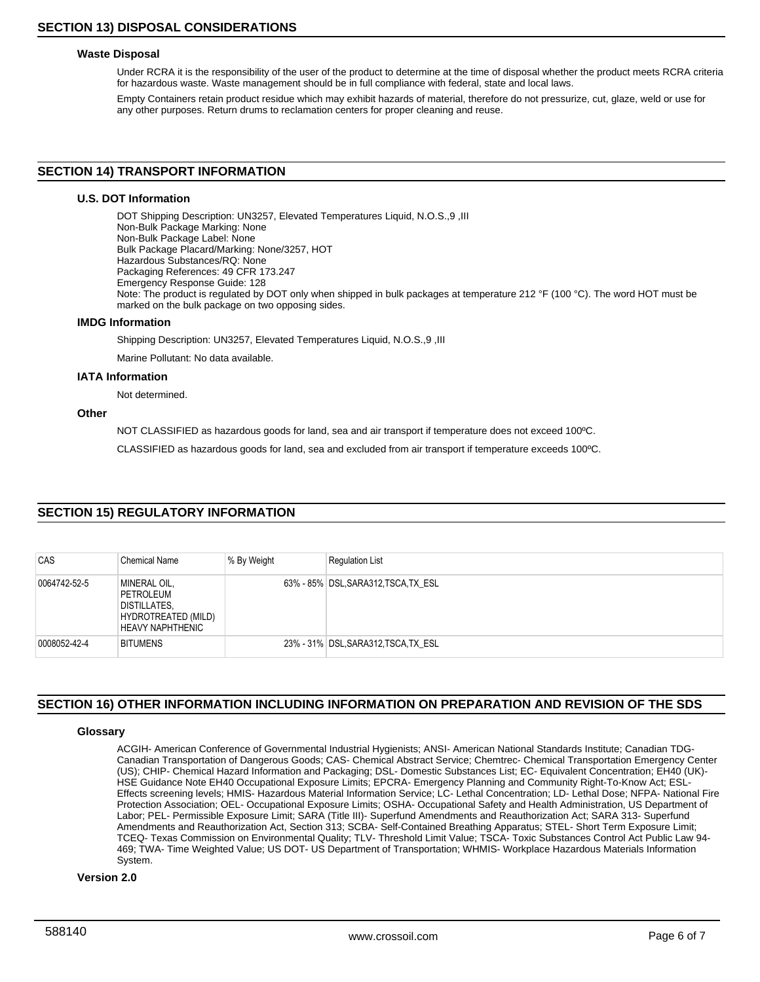## **Waste Disposal**

Under RCRA it is the responsibility of the user of the product to determine at the time of disposal whether the product meets RCRA criteria for hazardous waste. Waste management should be in full compliance with federal, state and local laws.

Empty Containers retain product residue which may exhibit hazards of material, therefore do not pressurize, cut, glaze, weld or use for any other purposes. Return drums to reclamation centers for proper cleaning and reuse.

## **SECTION 14) TRANSPORT INFORMATION**

## **U.S. DOT Information**

DOT Shipping Description: UN3257, Elevated Temperatures Liquid, N.O.S.,9 ,III Non-Bulk Package Marking: None Non-Bulk Package Label: None Bulk Package Placard/Marking: None/3257, HOT Hazardous Substances/RQ: None Packaging References: 49 CFR 173.247 Emergency Response Guide: 128 Note: The product is regulated by DOT only when shipped in bulk packages at temperature 212 °F (100 °C). The word HOT must be marked on the bulk package on two opposing sides.

#### **IMDG Information**

Shipping Description: UN3257, Elevated Temperatures Liquid, N.O.S.,9 ,III

Marine Pollutant: No data available.

#### **IATA Information**

Not determined.

## **Other**

NOT CLASSIFIED as hazardous goods for land, sea and air transport if temperature does not exceed 100ºC.

CLASSIFIED as hazardous goods for land, sea and excluded from air transport if temperature exceeds 100ºC.

# **SECTION 15) REGULATORY INFORMATION**

| CAS          | <b>Chemical Name</b>                                                                               | % By Weight | <b>Regulation List</b>               |
|--------------|----------------------------------------------------------------------------------------------------|-------------|--------------------------------------|
| 0064742-52-5 | MINERAL OIL,<br>PETROLEUM<br><b>DISTILLATES,</b><br>HYDROTREATED (MILD)<br><b>HEAVY NAPHTHENIC</b> |             | 63% - 85% DSL, SARA312, TSCA, TX ESL |
| 0008052-42-4 | <b>BITUMENS</b>                                                                                    |             | 23% - 31% DSL, SARA312, TSCA, TX ESL |

# **SECTION 16) OTHER INFORMATION INCLUDING INFORMATION ON PREPARATION AND REVISION OF THE SDS**

# **Glossary**

ACGIH- American Conference of Governmental Industrial Hygienists; ANSI- American National Standards Institute; Canadian TDG-Canadian Transportation of Dangerous Goods; CAS- Chemical Abstract Service; Chemtrec- Chemical Transportation Emergency Center (US); CHIP- Chemical Hazard Information and Packaging; DSL- Domestic Substances List; EC- Equivalent Concentration; EH40 (UK)- HSE Guidance Note EH40 Occupational Exposure Limits; EPCRA- Emergency Planning and Community Right-To-Know Act; ESL-Effects screening levels; HMIS- Hazardous Material Information Service; LC- Lethal Concentration; LD- Lethal Dose; NFPA- National Fire Protection Association; OEL- Occupational Exposure Limits; OSHA- Occupational Safety and Health Administration, US Department of Labor; PEL- Permissible Exposure Limit; SARA (Title III)- Superfund Amendments and Reauthorization Act; SARA 313- Superfund Amendments and Reauthorization Act, Section 313; SCBA- Self-Contained Breathing Apparatus; STEL- Short Term Exposure Limit; TCEQ- Texas Commission on Environmental Quality; TLV- Threshold Limit Value; TSCA- Toxic Substances Control Act Public Law 94- 469; TWA- Time Weighted Value; US DOT- US Department of Transportation; WHMIS- Workplace Hazardous Materials Information System.

# **Version 2.0**